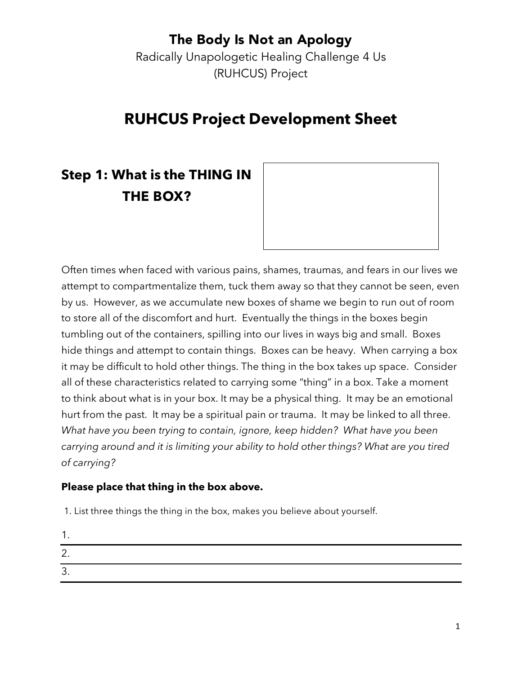Radically Unapologetic Healing Challenge 4 Us (RUHCUS) Project

# **RUHCUS Project Development Sheet**

# **Step 1: What is the THING IN THE BOX?**



Often times when faced with various pains, shames, traumas, and fears in our lives we attempt to compartmentalize them, tuck them away so that they cannot be seen, even by us. However, as we accumulate new boxes of shame we begin to run out of room to store all of the discomfort and hurt. Eventually the things in the boxes begin tumbling out of the containers, spilling into our lives in ways big and small. Boxes hide things and attempt to contain things. Boxes can be heavy. When carrying a box it may be difficult to hold other things. The thing in the box takes up space. Consider all of these characteristics related to carrying some "thing" in a box. Take a moment to think about what is in your box. It may be a physical thing. It may be an emotional hurt from the past. It may be a spiritual pain or trauma. It may be linked to all three. *What have you been trying to contain, ignore, keep hidden? What have you been carrying around and it is limiting your ability to hold other things? What are you tired of carrying?*

#### **Please place that thing in the box above.**

1. List three things the thing in the box, makes you believe about yourself.

| $\epsilon$<br><u>.</u> . |  |  |
|--------------------------|--|--|
| ∽<br>ີ                   |  |  |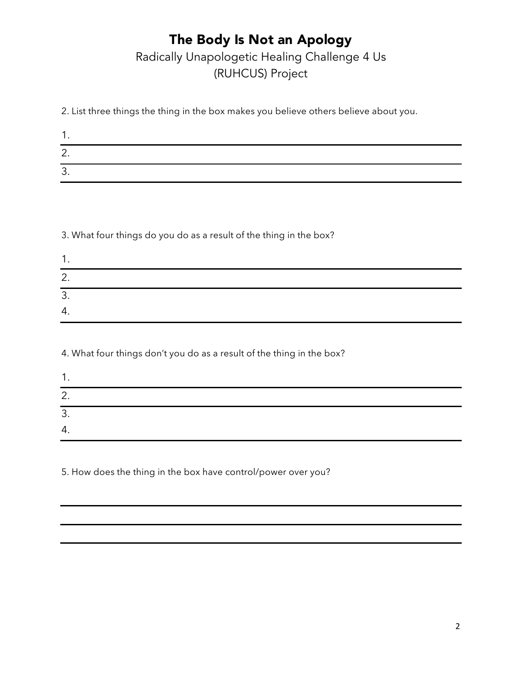### The Body Is Not an Apology Radically Unapologetic Healing Challenge 4 Us (RUHCUS) Project

2. List three things the thing in the box makes you believe others believe about you.

| ◠<br><u>.</u> |  |  |
|---------------|--|--|
| ာ<br>ູ        |  |  |

3. What four things do you do as a result of the thing in the box?

| r<br>. ے |  |  |
|----------|--|--|
| Ω<br>ັບ. |  |  |
| 4.       |  |  |

4. What four things don't you do as a result of the thing in the box?

| 2.              |  |
|-----------------|--|
| ્ર<br>. ب       |  |
| $\Lambda$<br>ᆠ. |  |

5. How does the thing in the box have control/power over you?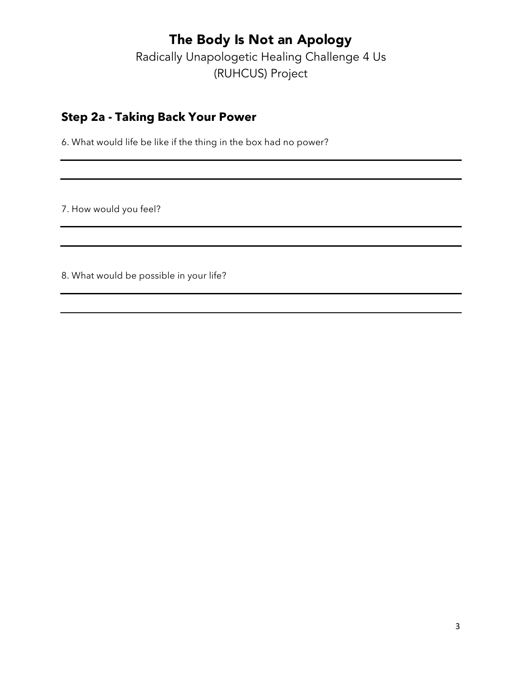Radically Unapologetic Healing Challenge 4 Us (RUHCUS) Project

#### **Step 2a - Taking Back Your Power**

6. What would life be like if the thing in the box had no power?

7. How would you feel?

8. What would be possible in your life?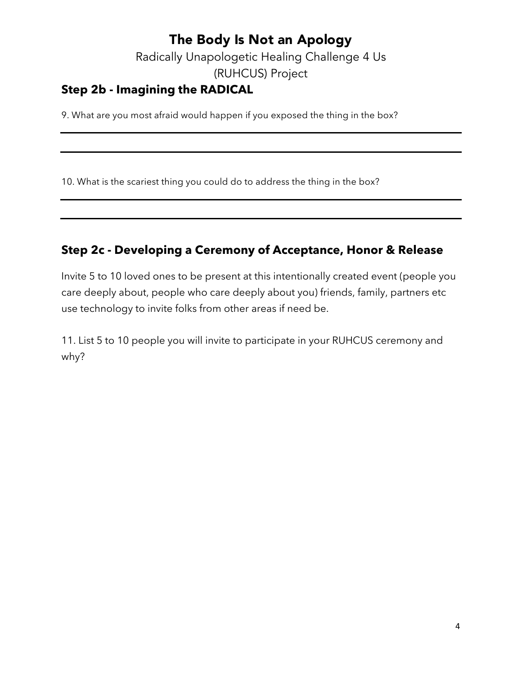Radically Unapologetic Healing Challenge 4 Us (RUHCUS) Project

#### **Step 2b - Imagining the RADICAL**

9. What are you most afraid would happen if you exposed the thing in the box?

10. What is the scariest thing you could do to address the thing in the box?

### **Step 2c - Developing a Ceremony of Acceptance, Honor & Release**

Invite 5 to 10 loved ones to be present at this intentionally created event (people you care deeply about, people who care deeply about you) friends, family, partners etc use technology to invite folks from other areas if need be.

11. List 5 to 10 people you will invite to participate in your RUHCUS ceremony and why?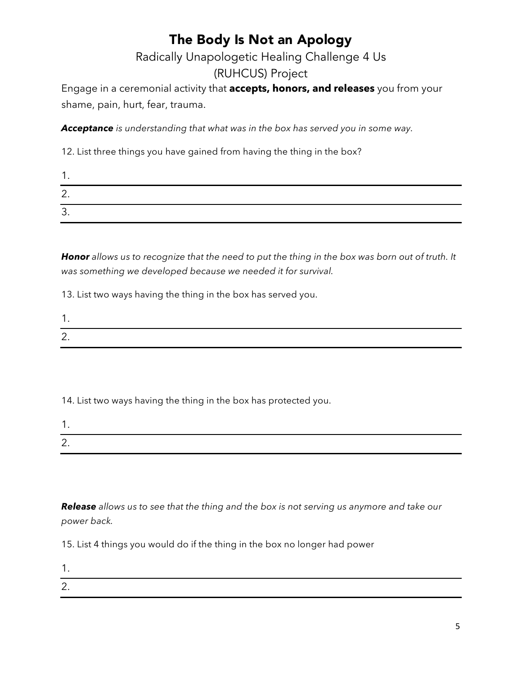### Radically Unapologetic Healing Challenge 4 Us (RUHCUS) Project

Engage in a ceremonial activity that **accepts, honors, and releases** you from your shame, pain, hurt, fear, trauma.

*Acceptance is understanding that what was in the box has served you in some way.*

12. List three things you have gained from having the thing in the box?

| £<br><u>.</u>             |  |  |
|---------------------------|--|--|
| ∽<br>$\ddot{\phantom{0}}$ |  |  |

*Honor allows us to recognize that the need to put the thing in the box was born out of truth. It was something we developed because we needed it for survival.*

13. List two ways having the thing in the box has served you.

14. List two ways having the thing in the box has protected you.

| <u>.</u> |  |  |
|----------|--|--|

*Release allows us to see that the thing and the box is not serving us anymore and take our power back.*

15. List 4 things you would do if the thing in the box no longer had power

1.

2.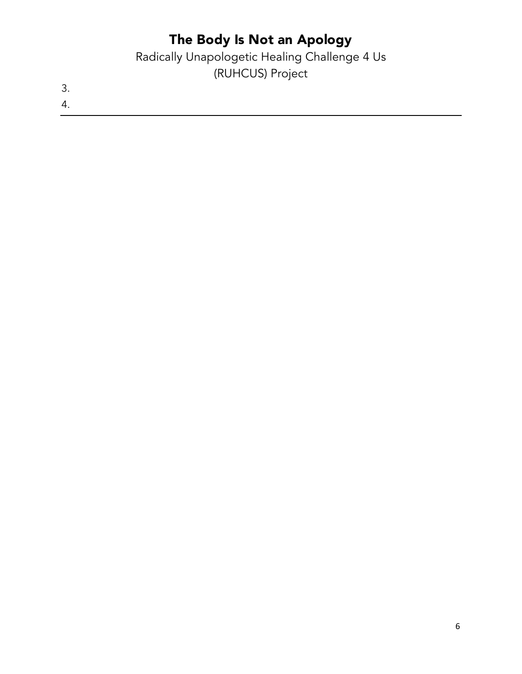Radically Unapologetic Healing Challenge 4 Us (RUHCUS) Project

3. 4.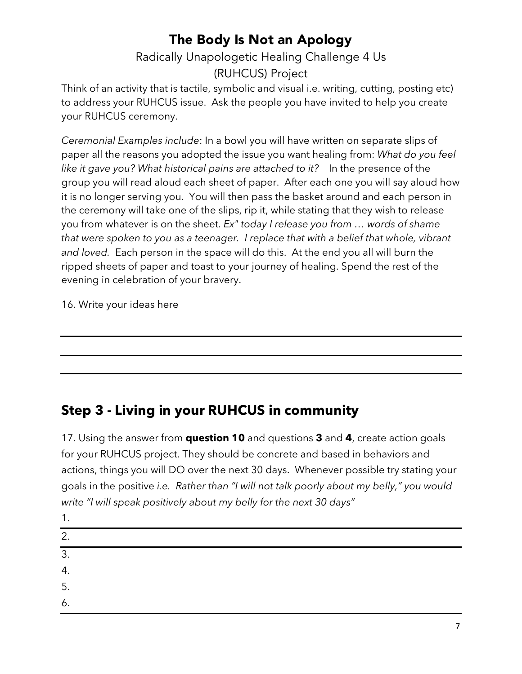### Radically Unapologetic Healing Challenge 4 Us (RUHCUS) Project

Think of an activity that is tactile, symbolic and visual i.e. writing, cutting, posting etc) to address your RUHCUS issue. Ask the people you have invited to help you create your RUHCUS ceremony.

*Ceremonial Examples include*: In a bowl you will have written on separate slips of paper all the reasons you adopted the issue you want healing from: *What do you feel like it gave you? What historical pains are attached to it?* In the presence of the group you will read aloud each sheet of paper. After each one you will say aloud how it is no longer serving you. You will then pass the basket around and each person in the ceremony will take one of the slips, rip it, while stating that they wish to release you from whatever is on the sheet. *Ex" today I release you from … words of shame that were spoken to you as a teenager. I replace that with a belief that whole, vibrant and loved.* Each person in the space will do this. At the end you all will burn the ripped sheets of paper and toast to your journey of healing. Spend the rest of the evening in celebration of your bravery.

16. Write your ideas here

### **Step 3 - Living in your RUHCUS in community**

17. Using the answer from **question 10** and questions **3** and **4**, create action goals for your RUHCUS project. They should be concrete and based in behaviors and actions, things you will DO over the next 30 days. Whenever possible try stating your goals in the positive *i.e. Rather than "I will not talk poorly about my belly," you would write "I will speak positively about my belly for the next 30 days"*

| . . |  |  |  |
|-----|--|--|--|
| 2.  |  |  |  |
| 3.  |  |  |  |
| 4.  |  |  |  |
| 5.  |  |  |  |
| 6.  |  |  |  |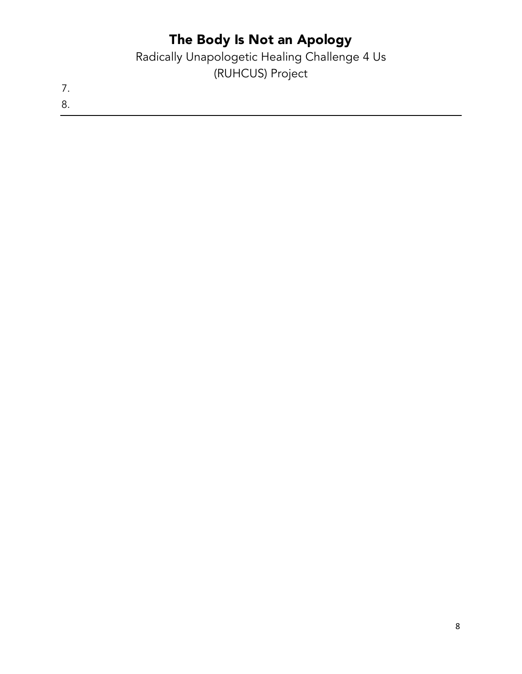Radically Unapologetic Healing Challenge 4 Us (RUHCUS) Project

7. 8.